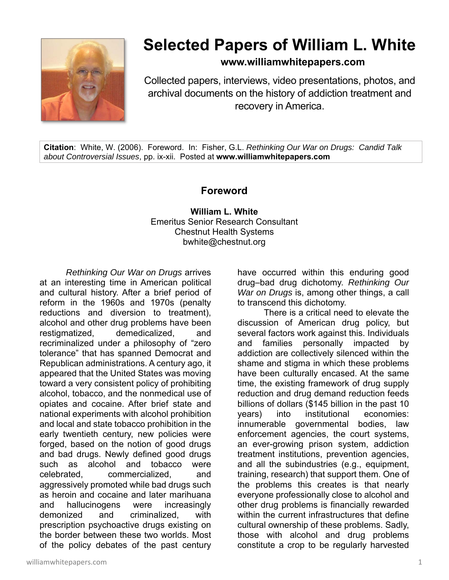

## **Selected Papers of William L. White**

**www.williamwhitepapers.com**

Collected papers, interviews, video presentations, photos, and archival documents on the history of addiction treatment and recovery in America.

**Citation**: White, W. (2006). Foreword. In: Fisher, G.L. *Rethinking Our War on Drugs: Candid Talk about Controversial Issues*, pp. ix-xii. Posted at **www.williamwhitepapers.com** 

## **Foreword**

**William L. White**  Emeritus Senior Research Consultant Chestnut Health Systems bwhite@chestnut.org

*Rethinking Our War on Drugs* arrives at an interesting time in American political and cultural history. After a brief period of reform in the 1960s and 1970s (penalty reductions and diversion to treatment), alcohol and other drug problems have been restigmatized, demedicalized, and recriminalized under a philosophy of "zero tolerance" that has spanned Democrat and Republican administrations. A century ago, it appeared that the United States was moving toward a very consistent policy of prohibiting alcohol, tobacco, and the nonmedical use of opiates and cocaine. After brief state and national experiments with alcohol prohibition and local and state tobacco prohibition in the early twentieth century, new policies were forged, based on the notion of good drugs and bad drugs. Newly defined good drugs such as alcohol and tobacco were celebrated, commercialized, and aggressively promoted while bad drugs such as heroin and cocaine and later marihuana and hallucinogens were increasingly demonized and criminalized, with prescription psychoactive drugs existing on the border between these two worlds. Most of the policy debates of the past century

have occurred within this enduring good drug–bad drug dichotomy. *Rethinking Our War on Drugs* is, among other things, a call to transcend this dichotomy.

There is a critical need to elevate the discussion of American drug policy, but several factors work against this. Individuals and families personally impacted by addiction are collectively silenced within the shame and stigma in which these problems have been culturally encased. At the same time, the existing framework of drug supply reduction and drug demand reduction feeds billions of dollars (\$145 billion in the past 10 years) into institutional economies: innumerable governmental bodies, law enforcement agencies, the court systems, an ever-growing prison system, addiction treatment institutions, prevention agencies, and all the subindustries (e.g., equipment, training, research) that support them. One of the problems this creates is that nearly everyone professionally close to alcohol and other drug problems is financially rewarded within the current infrastructures that define cultural ownership of these problems. Sadly, those with alcohol and drug problems constitute a crop to be regularly harvested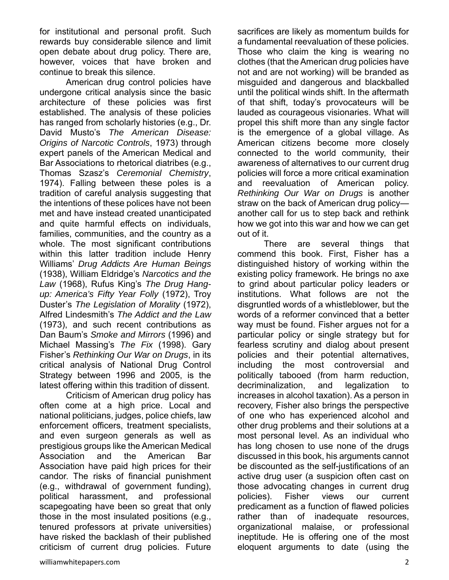for institutional and personal profit. Such rewards buy considerable silence and limit open debate about drug policy. There are, however, voices that have broken and continue to break this silence.

American drug control policies have undergone critical analysis since the basic architecture of these policies was first established. The analysis of these policies has ranged from scholarly histories (e.g., Dr. David Musto's *The American Disease: Origins of Narcotic Controls*, 1973) through expert panels of the American Medical and Bar Associations to rhetorical diatribes (e.g., Thomas Szasz's *Ceremonial Chemistry*, 1974). Falling between these poles is a tradition of careful analysis suggesting that the intentions of these polices have not been met and have instead created unanticipated and quite harmful effects on individuals, families, communities, and the country as a whole. The most significant contributions within this latter tradition include Henry Williams' *Drug Addicts Are Human Beings*  (1938), William Eldridge's *Narcotics and the Law* (1968), Rufus King's *The Drug Hangup: America's Fifty Year Folly* (1972), Troy Duster's *The Legislation of Morality* (1972), Alfred Lindesmith's *The Addict and the Law* (1973), and such recent contributions as Dan Baum's *Smoke and Mirrors* (1996) and Michael Massing's *The Fix* (1998). Gary Fisher's *Rethinking Our War on Drugs*, in its critical analysis of National Drug Control Strategy between 1996 and 2005, is the latest offering within this tradition of dissent.

Criticism of American drug policy has often come at a high price. Local and national politicians, judges, police chiefs, law enforcement officers, treatment specialists, and even surgeon generals as well as prestigious groups like the American Medical Association and the American Bar Association have paid high prices for their candor. The risks of financial punishment (e.g., withdrawal of government funding), political harassment, and professional scapegoating have been so great that only those in the most insulated positions (e.g., tenured professors at private universities) have risked the backlash of their published criticism of current drug policies. Future

sacrifices are likely as momentum builds for a fundamental reevaluation of these policies. Those who claim the king is wearing no clothes (that the American drug policies have not and are not working) will be branded as misguided and dangerous and blackballed until the political winds shift. In the aftermath of that shift, today's provocateurs will be lauded as courageous visionaries. What will propel this shift more than any single factor is the emergence of a global village. As American citizens become more closely connected to the world community, their awareness of alternatives to our current drug policies will force a more critical examination and reevaluation of American policy. *Rethinking Our War on Drugs* is another straw on the back of American drug policy another call for us to step back and rethink how we got into this war and how we can get out of it.

There are several things that commend this book. First, Fisher has a distinguished history of working within the existing policy framework. He brings no axe to grind about particular policy leaders or institutions. What follows are not the disgruntled words of a whistleblower, but the words of a reformer convinced that a better way must be found. Fisher argues not for a particular policy or single strategy but for fearless scrutiny and dialog about present policies and their potential alternatives, including the most controversial and politically tabooed (from harm reduction, decriminalization, and legalization to increases in alcohol taxation). As a person in recovery, Fisher also brings the perspective of one who has experienced alcohol and other drug problems and their solutions at a most personal level. As an individual who has long chosen to use none of the drugs discussed in this book, his arguments cannot be discounted as the self-justifications of an active drug user (a suspicion often cast on those advocating changes in current drug policies). Fisher views our current predicament as a function of flawed policies rather than of inadequate resources, organizational malaise, or professional ineptitude. He is offering one of the most eloquent arguments to date (using the